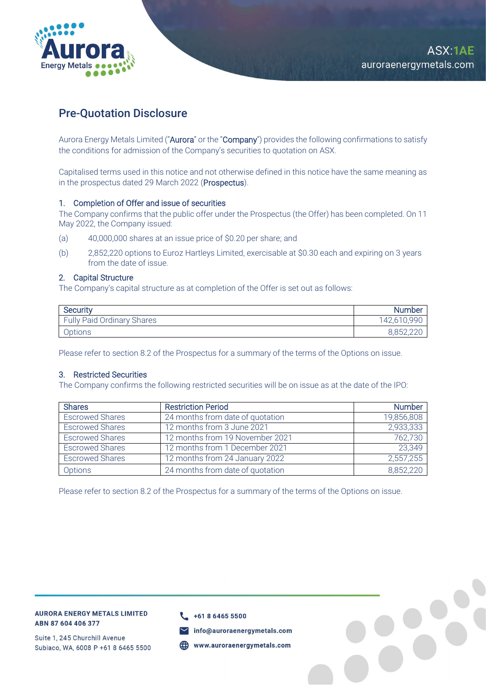

# Pre-Quotation Disclosure

Aurora Energy Metals Limited ("Aurora" or the "Company") provides the following confirmations to satisfy the conditions for admission of the Company's securities to quotation on ASX.

Capitalised terms used in this notice and not otherwise defined in this notice have the same meaning as in the prospectus dated 29 March 2022 (Prospectus).

#### 1. Completion of Offer and issue of securities

The Company confirms that the public offer under the Prospectus (the Offer) has been completed. On 11 May 2022, the Company issued:

- (a) 40,000,000 shares at an issue price of \$0.20 per share; and
- (b) 2,852,220 options to Euroz Hartleys Limited, exercisable at \$0.30 each and expiring on 3 years from the date of issue.

#### 2. Capital Structure

The Company's capital structure as at completion of the Offer is set out as follows:

| Security                          | <b>Number</b> |
|-----------------------------------|---------------|
| <b>Fully Paid Ordinary Shares</b> | 142,610,990   |
| Options                           | R R57 1       |

Please refer to section 8.2 of the Prospectus for a summary of the terms of the Options on issue.

### 3. Restricted Securities

The Company confirms the following restricted securities will be on issue as at the date of the IPO:

| <b>Shares</b>          | <b>Restriction Period</b>        | <b>Number</b> |
|------------------------|----------------------------------|---------------|
| <b>Escrowed Shares</b> | 24 months from date of quotation | 19,856,808    |
| <b>Escrowed Shares</b> | 12 months from 3 June 2021       | 2,933,333     |
| <b>Escrowed Shares</b> | 12 months from 19 November 2021  | 762,730       |
| <b>Escrowed Shares</b> | 12 months from 1 December 2021   | 23,349        |
| <b>Escrowed Shares</b> | 12 months from 24 January 2022   | 2,557,255     |
| Options                | 24 months from date of quotation | 8,852,220     |

Please refer to section 8.2 of the Prospectus for a summary of the terms of the Options on issue.